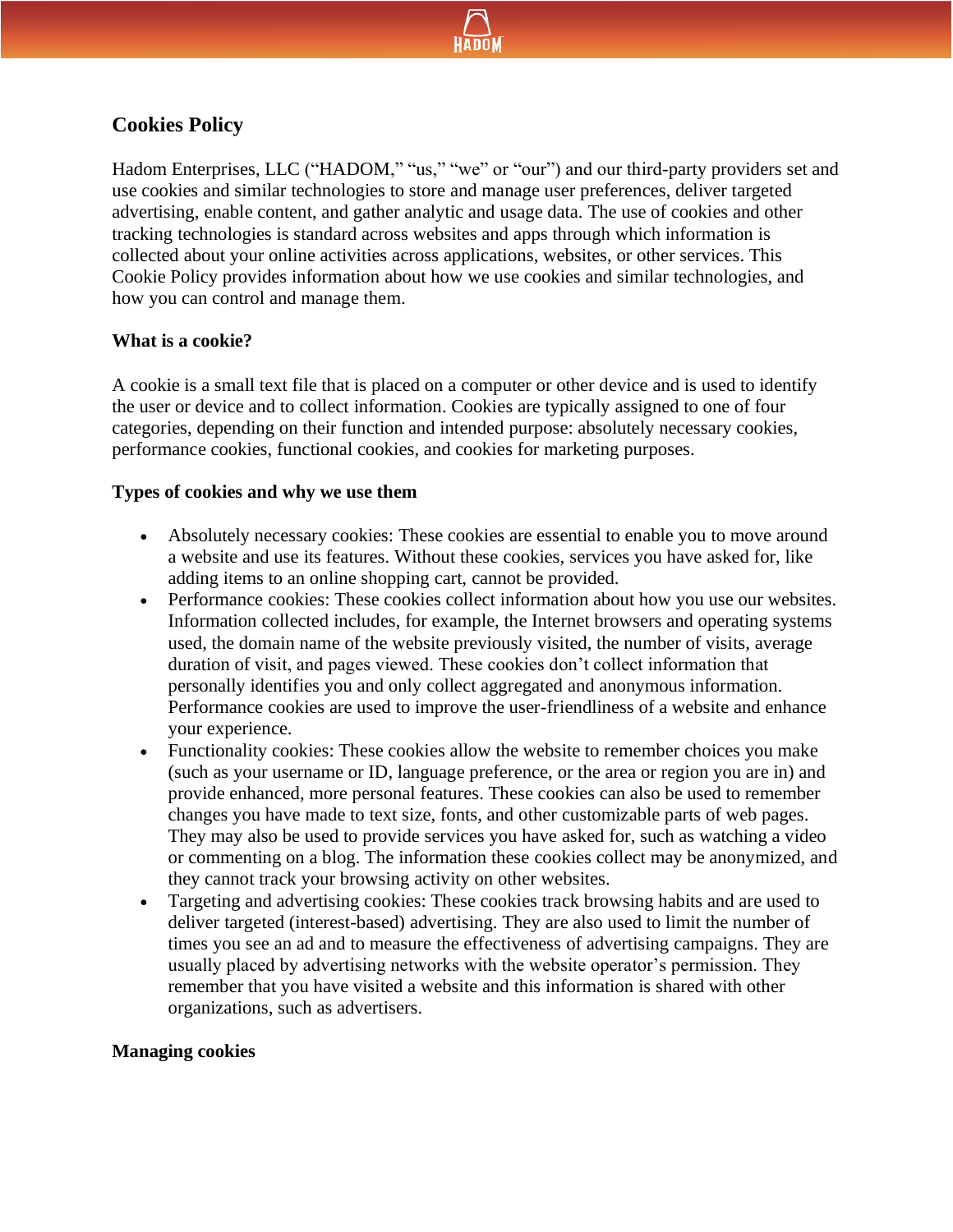

# **Cookies Policy**

Hadom Enterprises, LLC ("HADOM," "us," "we" or "our") and our third-party providers set and use cookies and similar technologies to store and manage user preferences, deliver targeted advertising, enable content, and gather analytic and usage data. The use of cookies and other tracking technologies is standard across websites and apps through which information is collected about your online activities across applications, websites, or other services. This Cookie Policy provides information about how we use cookies and similar technologies, and how you can control and manage them.

## **What is a cookie?**

A cookie is a small text file that is placed on a computer or other device and is used to identify the user or device and to collect information. Cookies are typically assigned to one of four categories, depending on their function and intended purpose: absolutely necessary cookies, performance cookies, functional cookies, and cookies for marketing purposes.

## **Types of cookies and why we use them**

- Absolutely necessary cookies: These cookies are essential to enable you to move around a website and use its features. Without these cookies, services you have asked for, like adding items to an online shopping cart, cannot be provided.
- Performance cookies: These cookies collect information about how you use our websites. Information collected includes, for example, the Internet browsers and operating systems used, the domain name of the website previously visited, the number of visits, average duration of visit, and pages viewed. These cookies don't collect information that personally identifies you and only collect aggregated and anonymous information. Performance cookies are used to improve the user-friendliness of a website and enhance your experience.
- Functionality cookies: These cookies allow the website to remember choices you make (such as your username or ID, language preference, or the area or region you are in) and provide enhanced, more personal features. These cookies can also be used to remember changes you have made to text size, fonts, and other customizable parts of web pages. They may also be used to provide services you have asked for, such as watching a video or commenting on a blog. The information these cookies collect may be anonymized, and they cannot track your browsing activity on other websites.
- Targeting and advertising cookies: These cookies track browsing habits and are used to deliver targeted (interest-based) advertising. They are also used to limit the number of times you see an ad and to measure the effectiveness of advertising campaigns. They are usually placed by advertising networks with the website operator's permission. They remember that you have visited a website and this information is shared with other organizations, such as advertisers.

## **Managing cookies**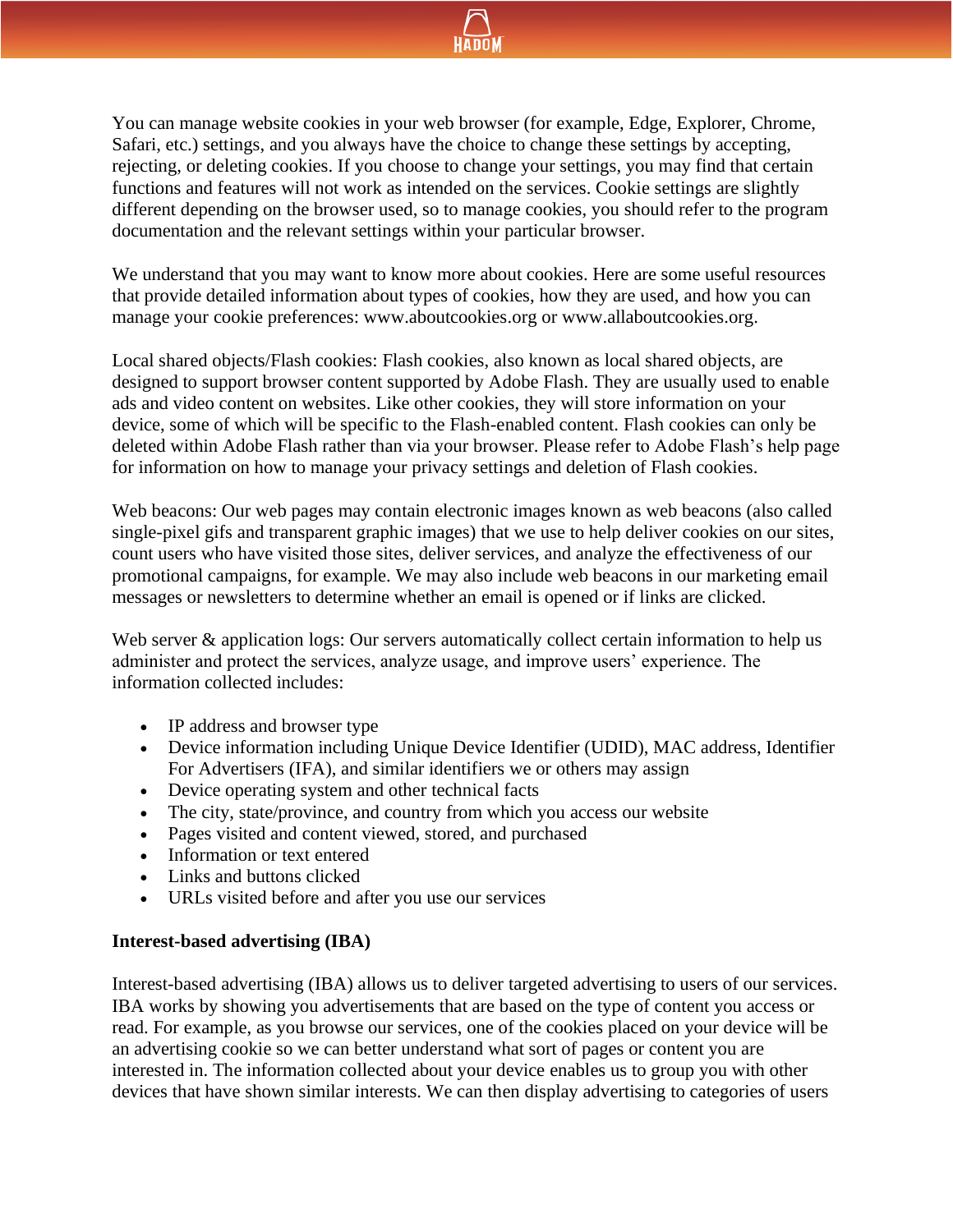

You can manage website cookies in your web browser (for example, Edge, Explorer, Chrome, Safari, etc.) settings, and you always have the choice to change these settings by accepting, rejecting, or deleting cookies. If you choose to change your settings, you may find that certain functions and features will not work as intended on the services. Cookie settings are slightly different depending on the browser used, so to manage cookies, you should refer to the program documentation and the relevant settings within your particular browser.

We understand that you may want to know more about cookies. Here are some useful resources that provide detailed information about types of cookies, how they are used, and how you can manage your cookie preferences: www.aboutcookies.org or www.allaboutcookies.org.

Local shared objects/Flash cookies: Flash cookies, also known as local shared objects, are designed to support browser content supported by Adobe Flash. They are usually used to enable ads and video content on websites. Like other cookies, they will store information on your device, some of which will be specific to the Flash-enabled content. Flash cookies can only be deleted within Adobe Flash rather than via your browser. Please refer to Adobe Flash's help page for information on how to manage your privacy settings and deletion of Flash cookies.

Web beacons: Our web pages may contain electronic images known as web beacons (also called single-pixel gifs and transparent graphic images) that we use to help deliver cookies on our sites, count users who have visited those sites, deliver services, and analyze the effectiveness of our promotional campaigns, for example. We may also include web beacons in our marketing email messages or newsletters to determine whether an email is opened or if links are clicked.

Web server & application logs: Our servers automatically collect certain information to help us administer and protect the services, analyze usage, and improve users' experience. The information collected includes:

- IP address and browser type
- Device information including Unique Device Identifier (UDID), MAC address, Identifier For Advertisers (IFA), and similar identifiers we or others may assign
- Device operating system and other technical facts
- The city, state/province, and country from which you access our website
- Pages visited and content viewed, stored, and purchased
- Information or text entered
- Links and buttons clicked
- URLs visited before and after you use our services

## **Interest-based advertising (IBA)**

Interest-based advertising (IBA) allows us to deliver targeted advertising to users of our services. IBA works by showing you advertisements that are based on the type of content you access or read. For example, as you browse our services, one of the cookies placed on your device will be an advertising cookie so we can better understand what sort of pages or content you are interested in. The information collected about your device enables us to group you with other devices that have shown similar interests. We can then display advertising to categories of users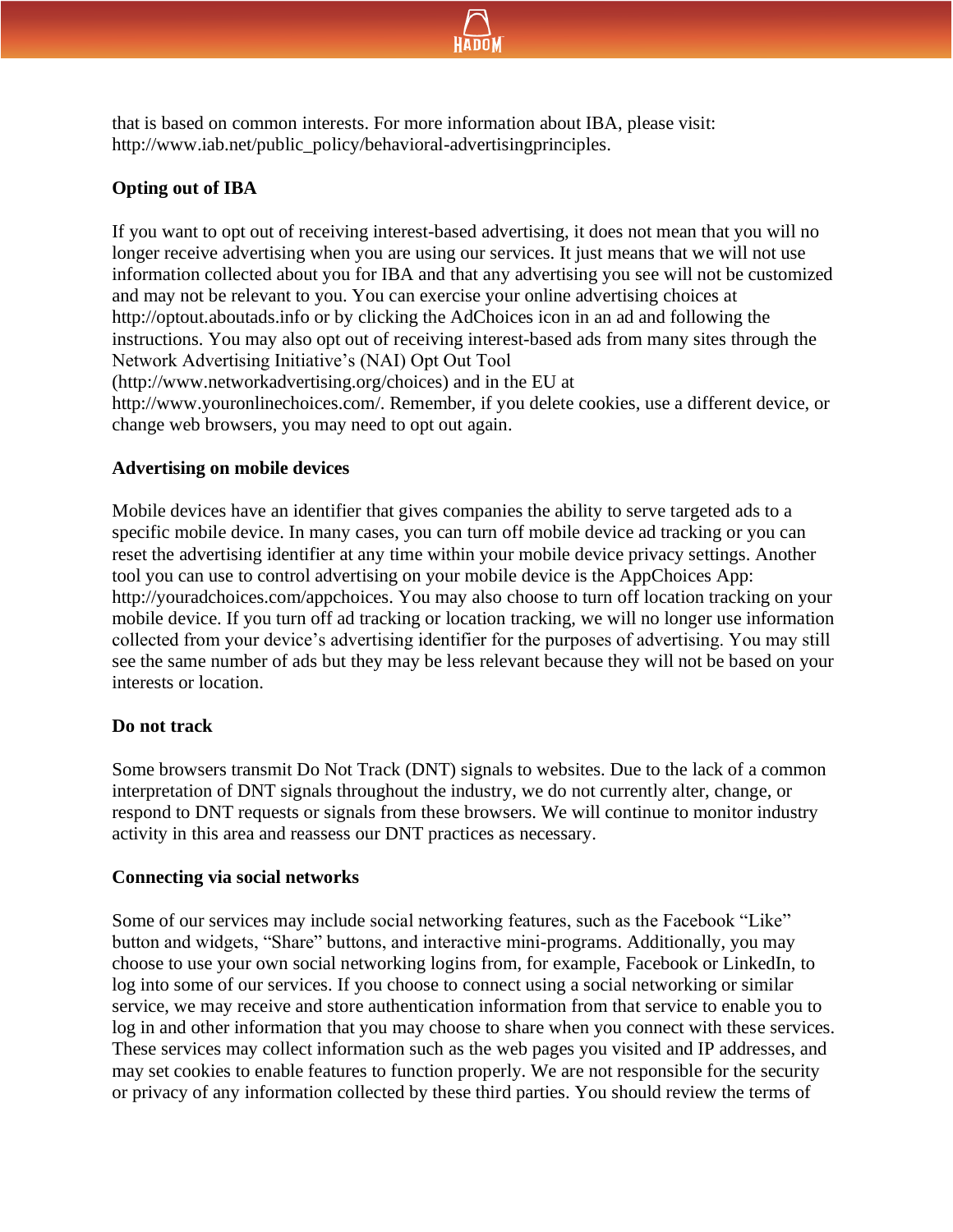

that is based on common interests. For more information about IBA, please visit: http://www.iab.net/public\_policy/behavioral-advertisingprinciples.

# **Opting out of IBA**

If you want to opt out of receiving interest-based advertising, it does not mean that you will no longer receive advertising when you are using our services. It just means that we will not use information collected about you for IBA and that any advertising you see will not be customized and may not be relevant to you. You can exercise your online advertising choices at http://optout.aboutads.info or by clicking the AdChoices icon in an ad and following the instructions. You may also opt out of receiving interest-based ads from many sites through the Network Advertising Initiative's (NAI) Opt Out Tool (http://www.networkadvertising.org/choices) and in the EU at

http://www.youronlinechoices.com/. Remember, if you delete cookies, use a different device, or change web browsers, you may need to opt out again.

#### **Advertising on mobile devices**

Mobile devices have an identifier that gives companies the ability to serve targeted ads to a specific mobile device. In many cases, you can turn off mobile device ad tracking or you can reset the advertising identifier at any time within your mobile device privacy settings. Another tool you can use to control advertising on your mobile device is the AppChoices App: http://youradchoices.com/appchoices. You may also choose to turn off location tracking on your mobile device. If you turn off ad tracking or location tracking, we will no longer use information collected from your device's advertising identifier for the purposes of advertising. You may still see the same number of ads but they may be less relevant because they will not be based on your interests or location.

## **Do not track**

Some browsers transmit Do Not Track (DNT) signals to websites. Due to the lack of a common interpretation of DNT signals throughout the industry, we do not currently alter, change, or respond to DNT requests or signals from these browsers. We will continue to monitor industry activity in this area and reassess our DNT practices as necessary.

#### **Connecting via social networks**

Some of our services may include social networking features, such as the Facebook "Like" button and widgets, "Share" buttons, and interactive mini-programs. Additionally, you may choose to use your own social networking logins from, for example, Facebook or LinkedIn, to log into some of our services. If you choose to connect using a social networking or similar service, we may receive and store authentication information from that service to enable you to log in and other information that you may choose to share when you connect with these services. These services may collect information such as the web pages you visited and IP addresses, and may set cookies to enable features to function properly. We are not responsible for the security or privacy of any information collected by these third parties. You should review the terms of